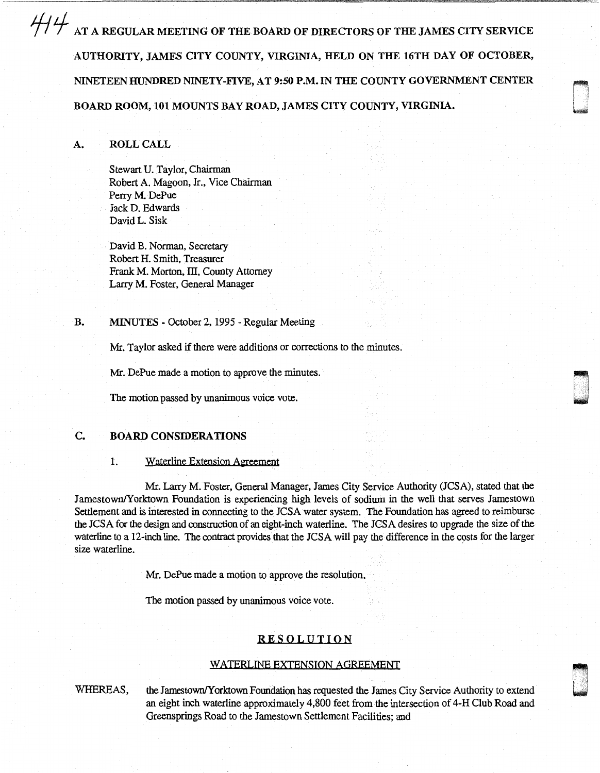# $414$  AT A REGULAR MEETING OF THE BOARD OF DIRECTORS OF THE JAMES CITY SERVICE AUTHORITY, JAMES CITY COUNTY, VIRGINIA, HELD ON THE 16TH DAY OF OCTOBER, NINETEEN HUNDRED NINETY-FIVE, AT 9:50 P.M. IN THE COUNTY GOVERNMENT CENTER BOARD ROOM, 101 MOUNTS BAY ROAD, JAMES CITY COUNTY, VIRGINIA.

# A. ROLL CALL

Stewart U. Taylor, Chairman Robert A. Magoon, Jr., Vice Chairman Perry M. DePue Jack D. Edwards David L. Sisk

David B. Norman, Secretary Robert H. Smith, Treasurer Frank M. Morton, III, County Attorney Larry M. Foster, General Manager

### B. MINUTES - October 2, 1995 - Regular Meeting

Mr. Taylor asked if there were additions or corrections to the minutes.

Mr. DePue made a motion to approve the minutes.

The motion passed by unanimous voice vote.

# C. BOARD CONSIDERATIONS

### 1. Waterline Extension Agreement

Mr. Larry M. Foster, General Manager, James City Service Authority (JCSA), stated that the Jamestown/Yorktown Foundation is experiencing high levels of sodium in the well that serves Jamestown Settlement and is interested in connecting to the JCSA water system. The Foundation has agreed to reimburse the JCSA for the design and construction of an eight-inch waterline. The JCSA desires to upgrade the size of the waterline to a 12-inch line. The contract provides that the JCSA will pay the difference in the costs for the larger size waterline.

0

Mr. DePue made a motion to approve the resolution.

The motion passed by unanimous voice vote.

# RESOLUTION

### WATERLINE EXTENSION AGREEMENT

WHEREAS, the Jamestown/Yorktown Foundation has requested the James City Service Authority to extend an eight inch waterline approximately 4,800 feet from the intersection of 4-H Club Road and Greensprings Road to the Jamestown Settlement Facilities; and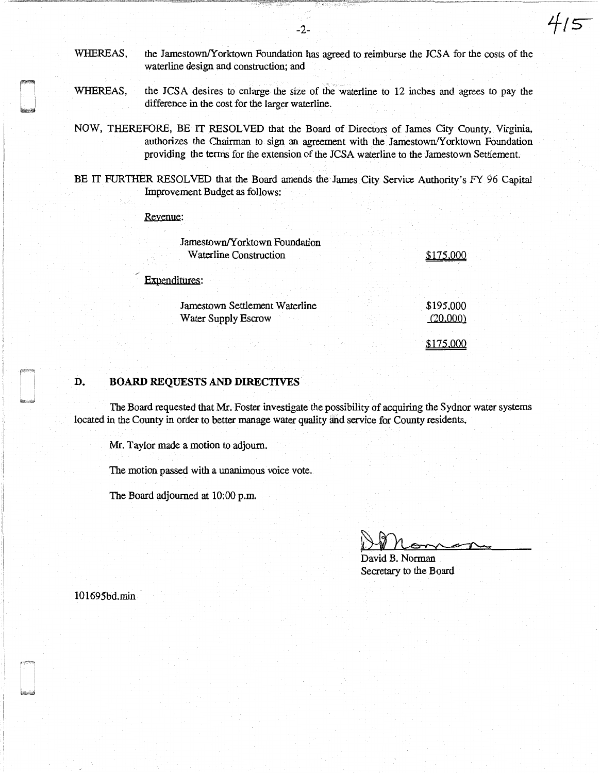WHEREAS, the Jamestown/Yorktown Foundation has agreed to reimburse the JCSA for the costs of the waterline design and construction; and

- WHEREAS, the JCSA desires to enlarge the size of the waterline to 12 inches and agrees to pay the difference in the cost for the larger waterline.
- NOW, THEREFORE, BE IT RESOLVED that the Board of Directors of James City County, Virginia, authorizes the Chairman to sign an agreement with the Jamestown/Yorktown Foundation providing the terms for the extension of the JCSA waterline to the Jamestown Settlement.
- BE IT FURTHER RESOLVED that the Board amends the James City Service Authority's FY 96 Capital Improvement Budget as follows:

Revenue:

| Jamestown/Yorktown Foundation<br><b>Waterline Construction</b> | \$175,000             |
|----------------------------------------------------------------|-----------------------|
| Expenditures:                                                  |                       |
| Jamestown Settlement Waterline<br>Water Supply Escrow          | \$195,000<br>(20,000) |
|                                                                |                       |

# D. BOARD REQUESTS AND DIRECTIVES

The Board requested that Mr. Foster investigate the possibility of acquiring the Sydnor water systems located in the County in order to better manage water quality and service for County residents.

Mr. Taylor made a motion to adjourn.

The motion passed with a unanimous voice vote.

The Board adjourned at 10:00 p.m.

*4ts-*

David B. Norman Secretary to the Board

101695bd.min

-2-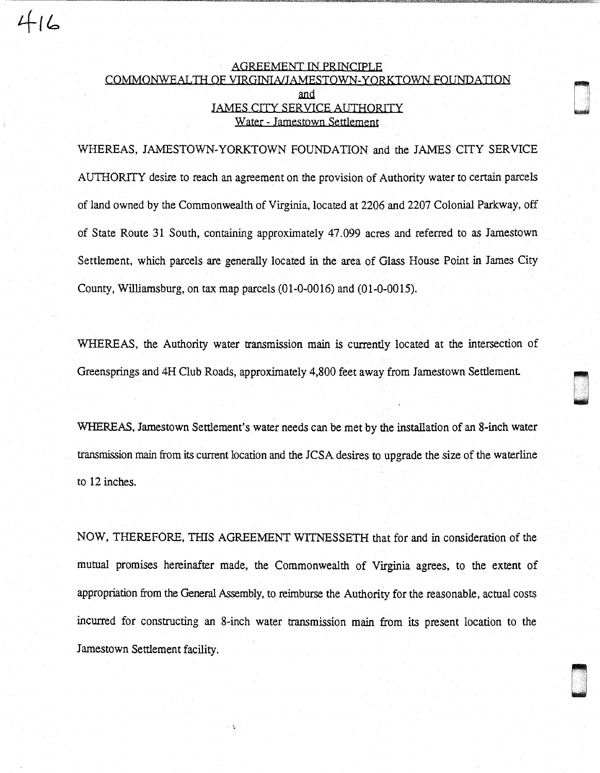# AGREEMENT IN PRINCIPLE. COMMONWEALTH OF VIRGINIA/JAMESTOWN-YORKTOWN FOUNDATION .and JAMES CITY SERVICE AUTHORITY Water - Jamestown Settlement

 $416$ 

an<br>Digwysodd a ganlaig ar yn y ganlaig ar y ganlaig ar y ganlaig ar y ganlaig ar y ganlaig ar y ganlaig ar y ganl<br>Digwysodd a ganlaig ar y ganlaig ar y ganlaig ar y ganlaig ar y ganlaig ar y ganlaig ar y ganlaig ar y ganla

ana<br>Dia manazarta<br>Dia manazarta ana amin'ny fivondronan'i Amerika

an<br>Digwyddiadau

WHEREAS, JAMESTOWN-YORKTOWN FOUNDATION and the JAMES CITY SERVICE AUTHORITY desire to reach an agreement on the provision of Authority water to certain parcels of land owned by the Commonwealth of Virginia, located at 2206 and 2207 Colonial Parkway, off of State Route 31 South, containing approximately 47.099 acres and referred to as Jamestown Settlement, which parcels are generally located in the area of Glass House Point in James City County, Williamsburg, on tax map parcels (01-0-0016) and (01-0-0015).

WHEREAS, the Authority water transmission main is currently located at the intersection of Greensprings and 4H Club Roads, approximately 4,800 feet away from Jamestown Settlement

WHEREAS, Jamestown Settlement's water needs can be met by the installation of an 8-inch water transmission main from its current location and the JCSA desires to upgrade the size of the waterline to 12 inches.

NOW, THEREFORE, THIS AGREEMENT WITNESSETH that for and in consideration of the mutual promises hereinafter made, the Commonwealth of Virginia agrees, to the extent of appropriation from the General Assembly, to reimburse the Authority for the reasonable, actual costs incurred for constructing an 8-inch water transmission main from its present location to the Jamestown Settlement facility.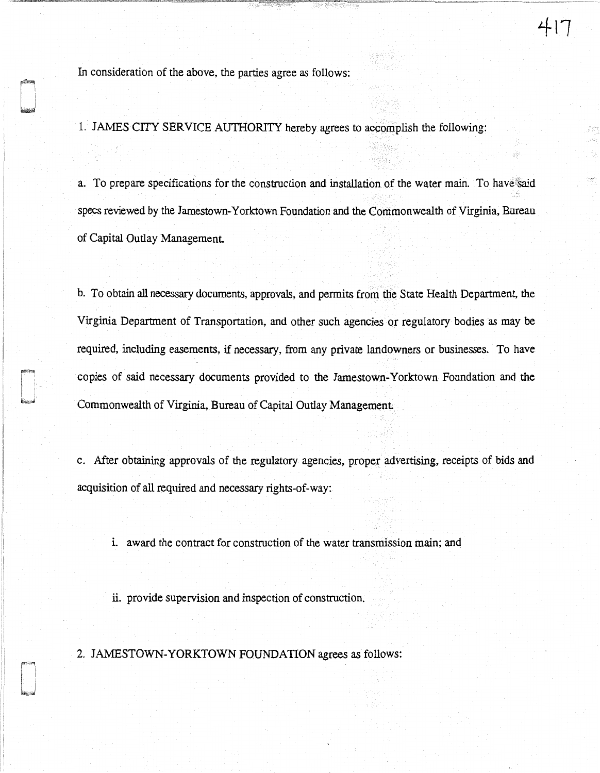In consideration of the above, the parties agree as follows:

1. JAMES CITY SERVICE AUTHORITY hereby agrees to accomplish the following:

a. To prepare specifications for the construction and installation of the water main. To have said specs reviewed by the Jamestown-Yorktown Foundation and the Commonwealth of Virginia, Bureau of Capital Outlay Management

b. To obtain all necessary documents, approvals, and pennits from the State Health Department, the Virginia Department of Transportation, and other such agencies or regulatory bodies as may be required, including easements, if necessary, from any private landowners or businesses. To have copies of said necessary documents provided to the Jamestown-Yorktown Foundation and the Commonwealth of Virginia, Bureau of Capital Outlay Management

c. After obtaining approvals of the regulatory agencies, proper advertising, receipts of bids and acquisition of all required and necessary rights-of-way:

i. award the contract for construction of the water transmission main; and

ii. provide supervision and inspection of construction.

2. JAMESTOWN-YORKTOWN FOUNDATION agrees as follows: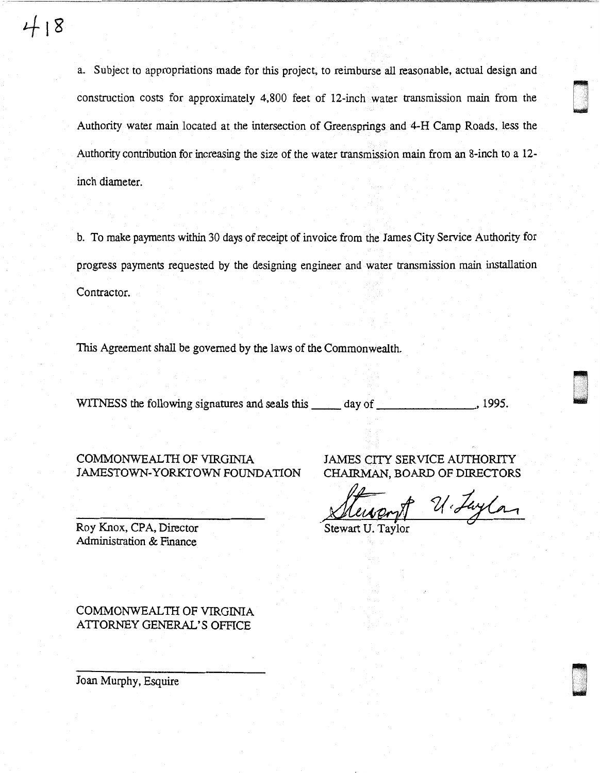a. Subject to appropriations made for this project, to reimburse all reasonable, actual design and construction costs for approximately  $4,800$  feet of 12-inch water transmission main from the Authority water main located at the intersection of Greensprings and 4-H Camp Roads, less the Authority contribution for increasing the size of the water transmission main from an 8-inch to a 12 inch diameter.

b. To make payments within 30 days of receipt of invoice from the James City Service Authority for progress payments requested by the designing engineer and water transmission main installation Contractor.

This Agreement shall be governed by the laws of the Commonwealth.

WITNESS the following signatures and seals this \_\_\_\_\_ day of \_\_\_\_\_\_\_\_\_\_\_\_\_\_\_\_\_\_, 1995.

COMMONWEALTH OF VIRGINIA JAMESTOWN-YORKTOWN FOUNDATION

JAMES CITY SERVICE AUTHORITY CHAIRMAN, BOARD OF DIRECTORS n

**~~~** 

ri w

Stewart U. Jaylor

Roy Knox, CPA, Director Administration & Finance

COMMONWEALTH OF VIRGINIA ATTORNEY GENERAL'S OFFICE

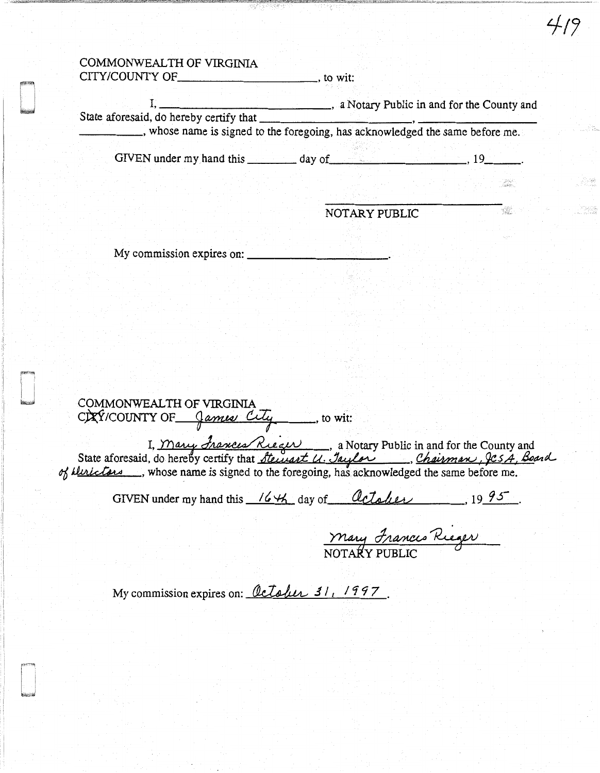# COMMONWEALTH OF VIRGINIA CITY/COUNTY OF \_\_\_\_\_\_\_\_\_\_\_\_\_\_\_\_\_\_\_\_\_\_\_\_\_\_\_\_\_\_\_, to wit:

I,  $\frac{1}{2}$  a Notary Public in and for the County and State aforesaid, do hereby certify that State aforesaid, do hereby certify that----------- --------- \_\_\_\_ , whose name is signed to the foregoing, has acknowledged the same before me.

GIVEN under my hand this  $\qquad \qquad$  day of  $\qquad \qquad$  4.19

NOTARY PUBLIC

419

 $My$  commission expires on:  $\sqrt{a^2 + b^2}$ 

COMMONWEALTH OF VIRGINIA<br>CDXY/COUNTY OF *Games City* , to wit:  $\gamma$  OF  $\frac{QameoCLq}{P}$ , to wit:<br>I, Mary Irances Riegin, a Notary Public in and for the County and<br>do bereby certify that Heurest U. Jaulas I, *Mary Irances Riegis ,* a Notary Public in and for the County and<br>State aforesaid, do hereby certify that *Stewart U. Jaylor , Chairman, JCSA, Board* I, <u>Mary Frances Riegin</u>, a Notary Public in and for the County:<br>State aforesaid, do hereby certify that <u>Steinart U. Jaylor (Chairman, Chairman, Chairman, Chairman, Chairman, Chairman, Chairman, Chairman, Chairman, Steina</u>

GIVEN under my hand this  $164$  day of  $\ell$ Lateller, 19 95.

NOTARY PUBLIC mary Frances Rieger

My commission expires on: *October 31, 1997*.